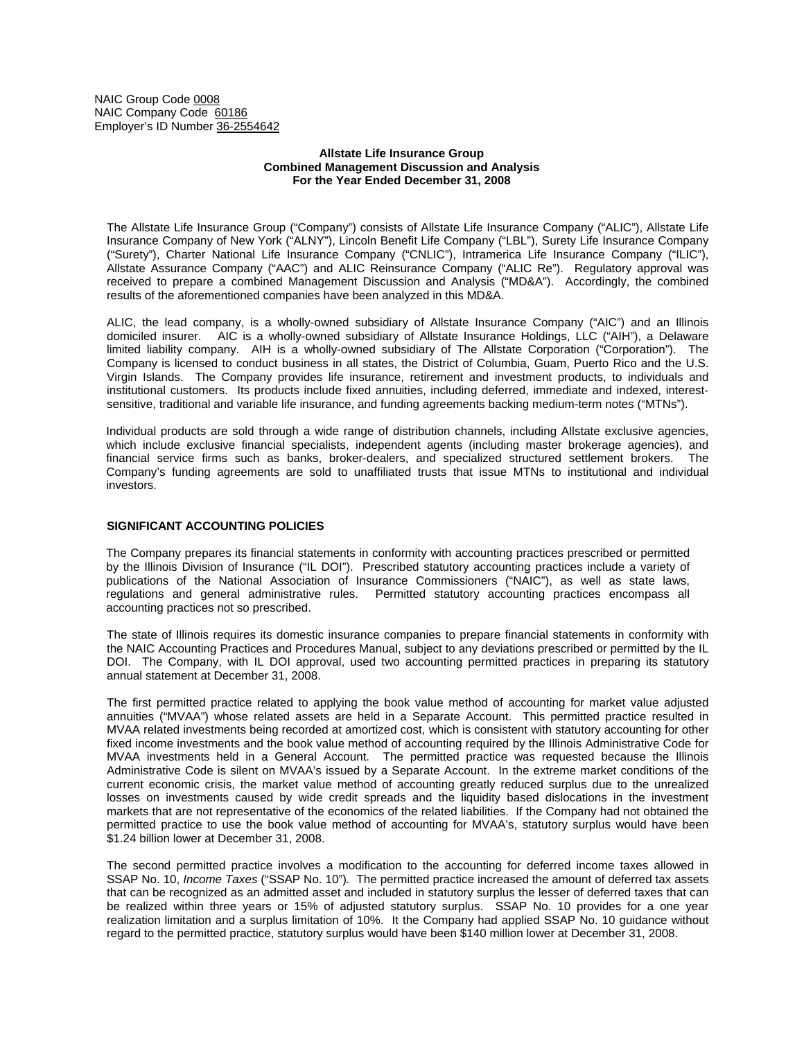NAIC Group Code 0008 NAIC Company Code 60186 Employer's ID Number 36-2554642

# **Allstate Life Insurance Group Combined Management Discussion and Analysis For the Year Ended December 31, 2008**

The Allstate Life Insurance Group ("Company") consists of Allstate Life Insurance Company ("ALIC"), Allstate Life Insurance Company of New York ("ALNY"), Lincoln Benefit Life Company ("LBL"), Surety Life Insurance Company ("Surety"), Charter National Life Insurance Company ("CNLIC"), Intramerica Life Insurance Company ("ILIC"), Allstate Assurance Company ("AAC") and ALIC Reinsurance Company ("ALIC Re"). Regulatory approval was received to prepare a combined Management Discussion and Analysis ("MD&A"). Accordingly, the combined results of the aforementioned companies have been analyzed in this MD&A.

ALIC, the lead company, is a wholly-owned subsidiary of Allstate Insurance Company ("AIC") and an Illinois domiciled insurer. AIC is a wholly-owned subsidiary of Allstate Insurance Holdings, LLC ("AIH"), a Delaware limited liability company. AIH is a wholly-owned subsidiary of The Allstate Corporation ("Corporation"). The Company is licensed to conduct business in all states, the District of Columbia, Guam, Puerto Rico and the U.S. Virgin Islands. The Company provides life insurance, retirement and investment products, to individuals and institutional customers. Its products include fixed annuities, including deferred, immediate and indexed, interestsensitive, traditional and variable life insurance, and funding agreements backing medium-term notes ("MTNs").

Individual products are sold through a wide range of distribution channels, including Allstate exclusive agencies, which include exclusive financial specialists, independent agents (including master brokerage agencies), and financial service firms such as banks, broker-dealers, and specialized structured settlement brokers. The Company's funding agreements are sold to unaffiliated trusts that issue MTNs to institutional and individual investors.

# **SIGNIFICANT ACCOUNTING POLICIES**

The Company prepares its financial statements in conformity with accounting practices prescribed or permitted by the Illinois Division of Insurance ("IL DOI"). Prescribed statutory accounting practices include a variety of publications of the National Association of Insurance Commissioners ("NAIC"), as well as state laws, regulations and general administrative rules. Permitted statutory accounting practices encompass all accounting practices not so prescribed.

The state of Illinois requires its domestic insurance companies to prepare financial statements in conformity with the NAIC Accounting Practices and Procedures Manual, subject to any deviations prescribed or permitted by the IL DOI. The Company, with IL DOI approval, used two accounting permitted practices in preparing its statutory annual statement at December 31, 2008.

The first permitted practice related to applying the book value method of accounting for market value adjusted annuities ("MVAA") whose related assets are held in a Separate Account. This permitted practice resulted in MVAA related investments being recorded at amortized cost, which is consistent with statutory accounting for other fixed income investments and the book value method of accounting required by the Illinois Administrative Code for MVAA investments held in a General Account. The permitted practice was requested because the Illinois Administrative Code is silent on MVAA's issued by a Separate Account. In the extreme market conditions of the current economic crisis, the market value method of accounting greatly reduced surplus due to the unrealized losses on investments caused by wide credit spreads and the liquidity based dislocations in the investment markets that are not representative of the economics of the related liabilities. If the Company had not obtained the permitted practice to use the book value method of accounting for MVAA's, statutory surplus would have been \$1.24 billion lower at December 31, 2008.

The second permitted practice involves a modification to the accounting for deferred income taxes allowed in SSAP No. 10, *Income Taxes* ("SSAP No. 10")*.* The permitted practice increased the amount of deferred tax assets that can be recognized as an admitted asset and included in statutory surplus the lesser of deferred taxes that can be realized within three years or 15% of adjusted statutory surplus. SSAP No. 10 provides for a one year realization limitation and a surplus limitation of 10%. It the Company had applied SSAP No. 10 guidance without regard to the permitted practice, statutory surplus would have been \$140 million lower at December 31, 2008.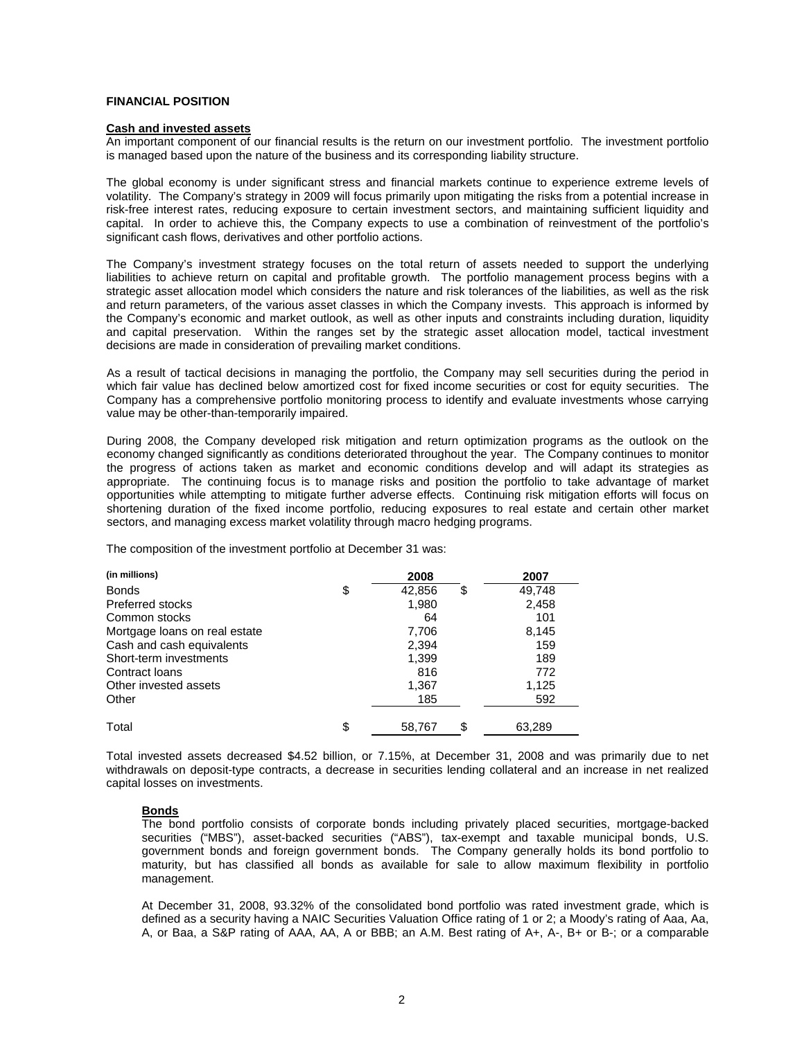# **FINANCIAL POSITION**

#### **Cash and invested assets**

An important component of our financial results is the return on our investment portfolio. The investment portfolio is managed based upon the nature of the business and its corresponding liability structure.

The global economy is under significant stress and financial markets continue to experience extreme levels of volatility. The Company's strategy in 2009 will focus primarily upon mitigating the risks from a potential increase in risk-free interest rates, reducing exposure to certain investment sectors, and maintaining sufficient liquidity and capital. In order to achieve this, the Company expects to use a combination of reinvestment of the portfolio's significant cash flows, derivatives and other portfolio actions.

The Company's investment strategy focuses on the total return of assets needed to support the underlying liabilities to achieve return on capital and profitable growth. The portfolio management process begins with a strategic asset allocation model which considers the nature and risk tolerances of the liabilities, as well as the risk and return parameters, of the various asset classes in which the Company invests. This approach is informed by the Company's economic and market outlook, as well as other inputs and constraints including duration, liquidity and capital preservation. Within the ranges set by the strategic asset allocation model, tactical investment decisions are made in consideration of prevailing market conditions.

As a result of tactical decisions in managing the portfolio, the Company may sell securities during the period in which fair value has declined below amortized cost for fixed income securities or cost for equity securities. The Company has a comprehensive portfolio monitoring process to identify and evaluate investments whose carrying value may be other-than-temporarily impaired.

During 2008, the Company developed risk mitigation and return optimization programs as the outlook on the economy changed significantly as conditions deteriorated throughout the year. The Company continues to monitor the progress of actions taken as market and economic conditions develop and will adapt its strategies as appropriate. The continuing focus is to manage risks and position the portfolio to take advantage of market opportunities while attempting to mitigate further adverse effects. Continuing risk mitigation efforts will focus on shortening duration of the fixed income portfolio, reducing exposures to real estate and certain other market sectors, and managing excess market volatility through macro hedging programs.

The composition of the investment portfolio at December 31 was:

| (in millions)                 | 2008               | 2007   |
|-------------------------------|--------------------|--------|
| <b>Bonds</b>                  | \$<br>42,856<br>\$ | 49,748 |
| Preferred stocks              | 1,980              | 2,458  |
| Common stocks                 | 64                 | 101    |
| Mortgage loans on real estate | 7,706              | 8,145  |
| Cash and cash equivalents     | 2,394              | 159    |
| Short-term investments        | 1,399              | 189    |
| Contract Ioans                | 816                | 772    |
| Other invested assets         | 1,367              | 1,125  |
| Other                         | 185                | 592    |
| Total                         | \$<br>\$<br>58,767 | 63,289 |

Total invested assets decreased \$4.52 billion, or 7.15%, at December 31, 2008 and was primarily due to net withdrawals on deposit-type contracts, a decrease in securities lending collateral and an increase in net realized capital losses on investments.

#### **Bonds**

The bond portfolio consists of corporate bonds including privately placed securities, mortgage-backed securities ("MBS"), asset-backed securities ("ABS"), tax-exempt and taxable municipal bonds, U.S. government bonds and foreign government bonds. The Company generally holds its bond portfolio to maturity, but has classified all bonds as available for sale to allow maximum flexibility in portfolio management.

At December 31, 2008, 93.32% of the consolidated bond portfolio was rated investment grade, which is defined as a security having a NAIC Securities Valuation Office rating of 1 or 2; a Moody's rating of Aaa, Aa, A, or Baa, a S&P rating of AAA, AA, A or BBB; an A.M. Best rating of A+, A-, B+ or B-; or a comparable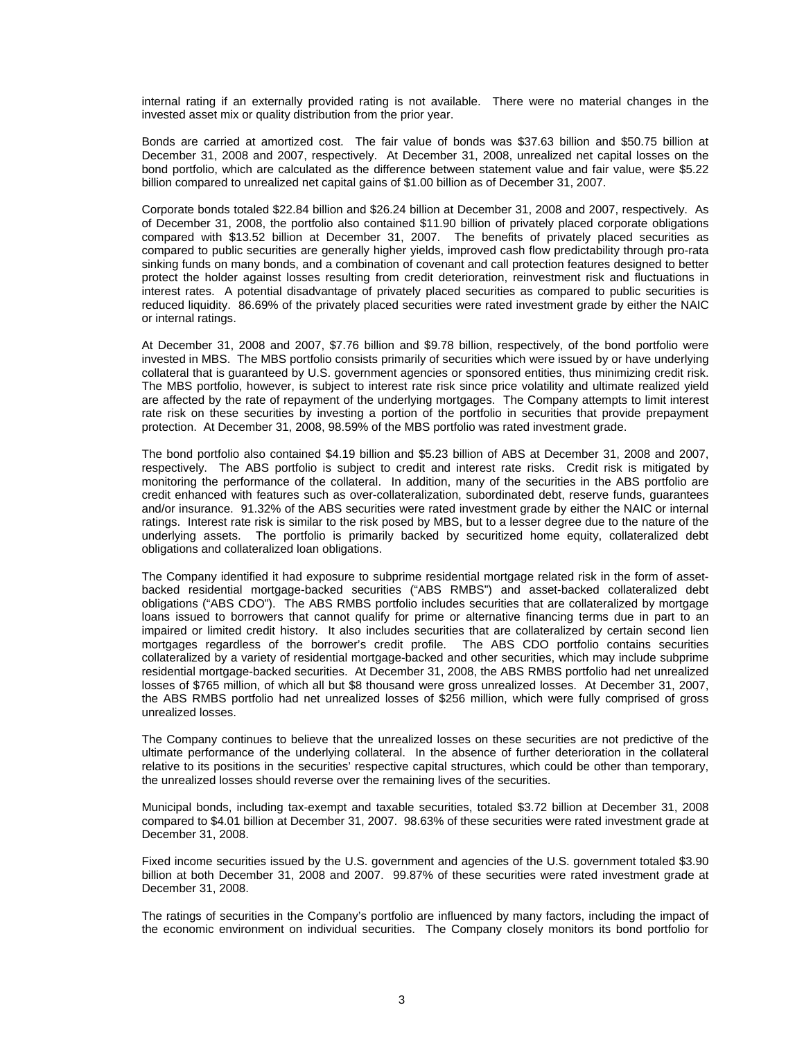internal rating if an externally provided rating is not available. There were no material changes in the invested asset mix or quality distribution from the prior year.

Bonds are carried at amortized cost. The fair value of bonds was \$37.63 billion and \$50.75 billion at December 31, 2008 and 2007, respectively. At December 31, 2008, unrealized net capital losses on the bond portfolio, which are calculated as the difference between statement value and fair value, were \$5.22 billion compared to unrealized net capital gains of \$1.00 billion as of December 31, 2007.

Corporate bonds totaled \$22.84 billion and \$26.24 billion at December 31, 2008 and 2007, respectively. As of December 31, 2008, the portfolio also contained \$11.90 billion of privately placed corporate obligations compared with \$13.52 billion at December 31, 2007. The benefits of privately placed securities as compared to public securities are generally higher yields, improved cash flow predictability through pro-rata sinking funds on many bonds, and a combination of covenant and call protection features designed to better protect the holder against losses resulting from credit deterioration, reinvestment risk and fluctuations in interest rates. A potential disadvantage of privately placed securities as compared to public securities is reduced liquidity. 86.69% of the privately placed securities were rated investment grade by either the NAIC or internal ratings.

At December 31, 2008 and 2007, \$7.76 billion and \$9.78 billion, respectively, of the bond portfolio were invested in MBS. The MBS portfolio consists primarily of securities which were issued by or have underlying collateral that is guaranteed by U.S. government agencies or sponsored entities, thus minimizing credit risk. The MBS portfolio, however, is subject to interest rate risk since price volatility and ultimate realized yield are affected by the rate of repayment of the underlying mortgages. The Company attempts to limit interest rate risk on these securities by investing a portion of the portfolio in securities that provide prepayment protection. At December 31, 2008, 98.59% of the MBS portfolio was rated investment grade.

The bond portfolio also contained \$4.19 billion and \$5.23 billion of ABS at December 31, 2008 and 2007, respectively. The ABS portfolio is subject to credit and interest rate risks. Credit risk is mitigated by monitoring the performance of the collateral. In addition, many of the securities in the ABS portfolio are credit enhanced with features such as over-collateralization, subordinated debt, reserve funds, guarantees and/or insurance. 91.32% of the ABS securities were rated investment grade by either the NAIC or internal ratings. Interest rate risk is similar to the risk posed by MBS, but to a lesser degree due to the nature of the underlying assets. The portfolio is primarily backed by securitized home equity, collateralized debt obligations and collateralized loan obligations.

The Company identified it had exposure to subprime residential mortgage related risk in the form of assetbacked residential mortgage-backed securities ("ABS RMBS") and asset-backed collateralized debt obligations ("ABS CDO"). The ABS RMBS portfolio includes securities that are collateralized by mortgage loans issued to borrowers that cannot qualify for prime or alternative financing terms due in part to an impaired or limited credit history. It also includes securities that are collateralized by certain second lien mortgages regardless of the borrower's credit profile. The ABS CDO portfolio contains securities collateralized by a variety of residential mortgage-backed and other securities, which may include subprime residential mortgage-backed securities. At December 31, 2008, the ABS RMBS portfolio had net unrealized losses of \$765 million, of which all but \$8 thousand were gross unrealized losses. At December 31, 2007, the ABS RMBS portfolio had net unrealized losses of \$256 million, which were fully comprised of gross unrealized losses.

The Company continues to believe that the unrealized losses on these securities are not predictive of the ultimate performance of the underlying collateral. In the absence of further deterioration in the collateral relative to its positions in the securities' respective capital structures, which could be other than temporary, the unrealized losses should reverse over the remaining lives of the securities.

Municipal bonds, including tax-exempt and taxable securities, totaled \$3.72 billion at December 31, 2008 compared to \$4.01 billion at December 31, 2007. 98.63% of these securities were rated investment grade at December 31, 2008.

Fixed income securities issued by the U.S. government and agencies of the U.S. government totaled \$3.90 billion at both December 31, 2008 and 2007. 99.87% of these securities were rated investment grade at December 31, 2008.

The ratings of securities in the Company's portfolio are influenced by many factors, including the impact of the economic environment on individual securities. The Company closely monitors its bond portfolio for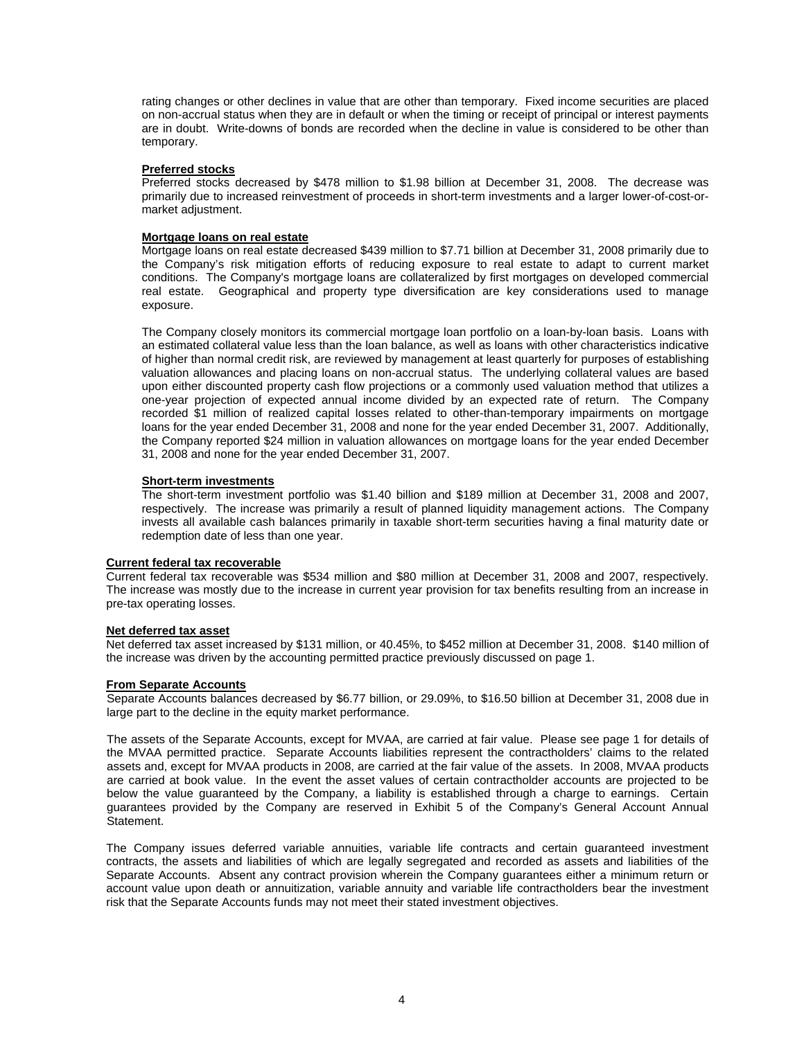rating changes or other declines in value that are other than temporary. Fixed income securities are placed on non-accrual status when they are in default or when the timing or receipt of principal or interest payments are in doubt. Write-downs of bonds are recorded when the decline in value is considered to be other than temporary.

# **Preferred stocks**

Preferred stocks decreased by \$478 million to \$1.98 billion at December 31, 2008. The decrease was primarily due to increased reinvestment of proceeds in short-term investments and a larger lower-of-cost-ormarket adjustment.

## **Mortgage loans on real estate**

Mortgage loans on real estate decreased \$439 million to \$7.71 billion at December 31, 2008 primarily due to the Company's risk mitigation efforts of reducing exposure to real estate to adapt to current market conditions. The Company's mortgage loans are collateralized by first mortgages on developed commercial real estate. Geographical and property type diversification are key considerations used to manage exposure.

The Company closely monitors its commercial mortgage loan portfolio on a loan-by-loan basis. Loans with an estimated collateral value less than the loan balance, as well as loans with other characteristics indicative of higher than normal credit risk, are reviewed by management at least quarterly for purposes of establishing valuation allowances and placing loans on non-accrual status. The underlying collateral values are based upon either discounted property cash flow projections or a commonly used valuation method that utilizes a one-year projection of expected annual income divided by an expected rate of return. The Company recorded \$1 million of realized capital losses related to other-than-temporary impairments on mortgage loans for the year ended December 31, 2008 and none for the year ended December 31, 2007. Additionally, the Company reported \$24 million in valuation allowances on mortgage loans for the year ended December 31, 2008 and none for the year ended December 31, 2007.

## **Short-term investments**

The short-term investment portfolio was \$1.40 billion and \$189 million at December 31, 2008 and 2007, respectively. The increase was primarily a result of planned liquidity management actions. The Company invests all available cash balances primarily in taxable short-term securities having a final maturity date or redemption date of less than one year.

#### **Current federal tax recoverable**

Current federal tax recoverable was \$534 million and \$80 million at December 31, 2008 and 2007, respectively. The increase was mostly due to the increase in current year provision for tax benefits resulting from an increase in pre-tax operating losses.

#### **Net deferred tax asset**

Net deferred tax asset increased by \$131 million, or 40.45%, to \$452 million at December 31, 2008. \$140 million of the increase was driven by the accounting permitted practice previously discussed on page 1.

# **From Separate Accounts**

Separate Accounts balances decreased by \$6.77 billion, or 29.09%, to \$16.50 billion at December 31, 2008 due in large part to the decline in the equity market performance.

The assets of the Separate Accounts, except for MVAA, are carried at fair value. Please see page 1 for details of the MVAA permitted practice. Separate Accounts liabilities represent the contractholders' claims to the related assets and, except for MVAA products in 2008, are carried at the fair value of the assets. In 2008, MVAA products are carried at book value. In the event the asset values of certain contractholder accounts are projected to be below the value guaranteed by the Company, a liability is established through a charge to earnings. Certain guarantees provided by the Company are reserved in Exhibit 5 of the Company's General Account Annual Statement.

The Company issues deferred variable annuities, variable life contracts and certain guaranteed investment contracts, the assets and liabilities of which are legally segregated and recorded as assets and liabilities of the Separate Accounts. Absent any contract provision wherein the Company guarantees either a minimum return or account value upon death or annuitization, variable annuity and variable life contractholders bear the investment risk that the Separate Accounts funds may not meet their stated investment objectives.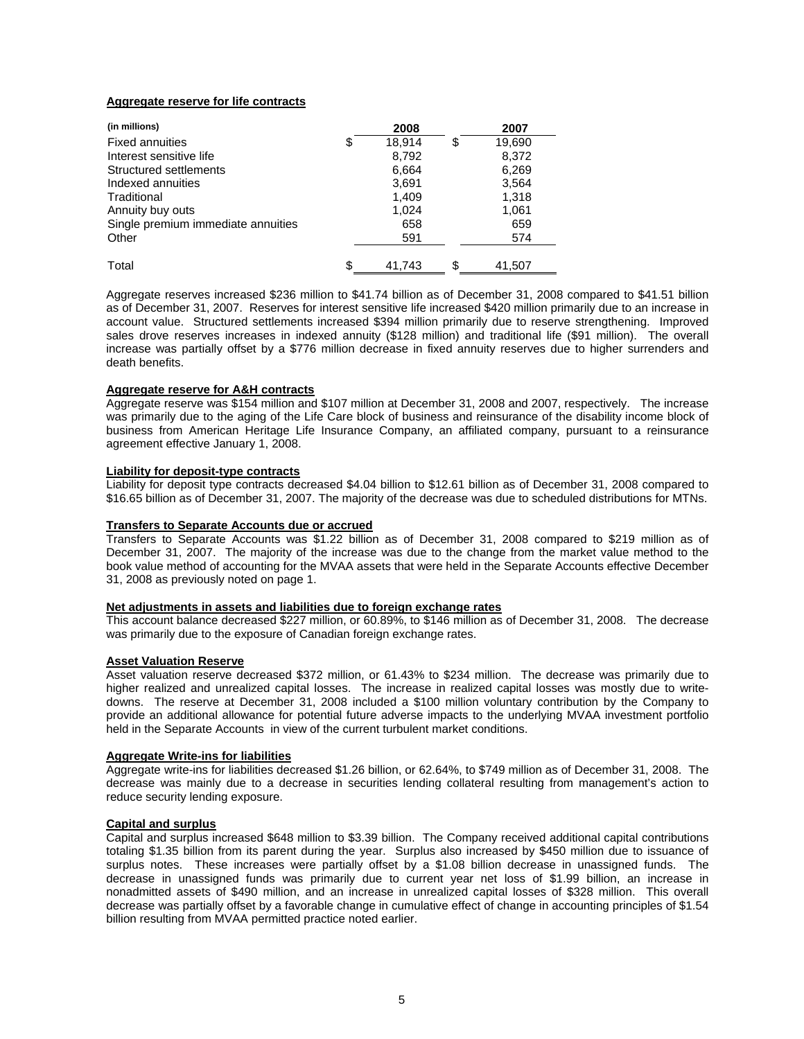# **Aggregate reserve for life contracts**

| (in millions)                      | 2008         | 2007         |
|------------------------------------|--------------|--------------|
| <b>Fixed annuities</b>             | \$<br>18.914 | \$<br>19,690 |
| Interest sensitive life            | 8,792        | 8,372        |
| Structured settlements             | 6,664        | 6,269        |
| Indexed annuities                  | 3,691        | 3,564        |
| Traditional                        | 1,409        | 1,318        |
| Annuity buy outs                   | 1,024        | 1,061        |
| Single premium immediate annuities | 658          | 659          |
| Other                              | 591          | 574          |
| Total                              | \$<br>41.743 | \$<br>41.507 |

Aggregate reserves increased \$236 million to \$41.74 billion as of December 31, 2008 compared to \$41.51 billion as of December 31, 2007. Reserves for interest sensitive life increased \$420 million primarily due to an increase in account value. Structured settlements increased \$394 million primarily due to reserve strengthening. Improved sales drove reserves increases in indexed annuity (\$128 million) and traditional life (\$91 million). The overall increase was partially offset by a \$776 million decrease in fixed annuity reserves due to higher surrenders and death benefits.

## **Aggregate reserve for A&H contracts**

Aggregate reserve was \$154 million and \$107 million at December 31, 2008 and 2007, respectively. The increase was primarily due to the aging of the Life Care block of business and reinsurance of the disability income block of business from American Heritage Life Insurance Company, an affiliated company, pursuant to a reinsurance agreement effective January 1, 2008.

## **Liability for deposit-type contracts**

Liability for deposit type contracts decreased \$4.04 billion to \$12.61 billion as of December 31, 2008 compared to \$16.65 billion as of December 31, 2007. The majority of the decrease was due to scheduled distributions for MTNs.

# **Transfers to Separate Accounts due or accrued**

Transfers to Separate Accounts was \$1.22 billion as of December 31, 2008 compared to \$219 million as of December 31, 2007. The majority of the increase was due to the change from the market value method to the book value method of accounting for the MVAA assets that were held in the Separate Accounts effective December 31, 2008 as previously noted on page 1.

#### **Net adjustments in assets and liabilities due to foreign exchange rates**

This account balance decreased \$227 million, or 60.89%, to \$146 million as of December 31, 2008. The decrease was primarily due to the exposure of Canadian foreign exchange rates.

# **Asset Valuation Reserve**

Asset valuation reserve decreased \$372 million, or 61.43% to \$234 million. The decrease was primarily due to higher realized and unrealized capital losses. The increase in realized capital losses was mostly due to writedowns. The reserve at December 31, 2008 included a \$100 million voluntary contribution by the Company to provide an additional allowance for potential future adverse impacts to the underlying MVAA investment portfolio held in the Separate Accounts in view of the current turbulent market conditions.

#### **Aggregate Write-ins for liabilities**

Aggregate write-ins for liabilities decreased \$1.26 billion, or 62.64%, to \$749 million as of December 31, 2008. The decrease was mainly due to a decrease in securities lending collateral resulting from management's action to reduce security lending exposure.

# **Capital and surplus**

Capital and surplus increased \$648 million to \$3.39 billion. The Company received additional capital contributions totaling \$1.35 billion from its parent during the year. Surplus also increased by \$450 million due to issuance of surplus notes. These increases were partially offset by a \$1.08 billion decrease in unassigned funds. The decrease in unassigned funds was primarily due to current year net loss of \$1.99 billion, an increase in nonadmitted assets of \$490 million, and an increase in unrealized capital losses of \$328 million. This overall decrease was partially offset by a favorable change in cumulative effect of change in accounting principles of \$1.54 billion resulting from MVAA permitted practice noted earlier.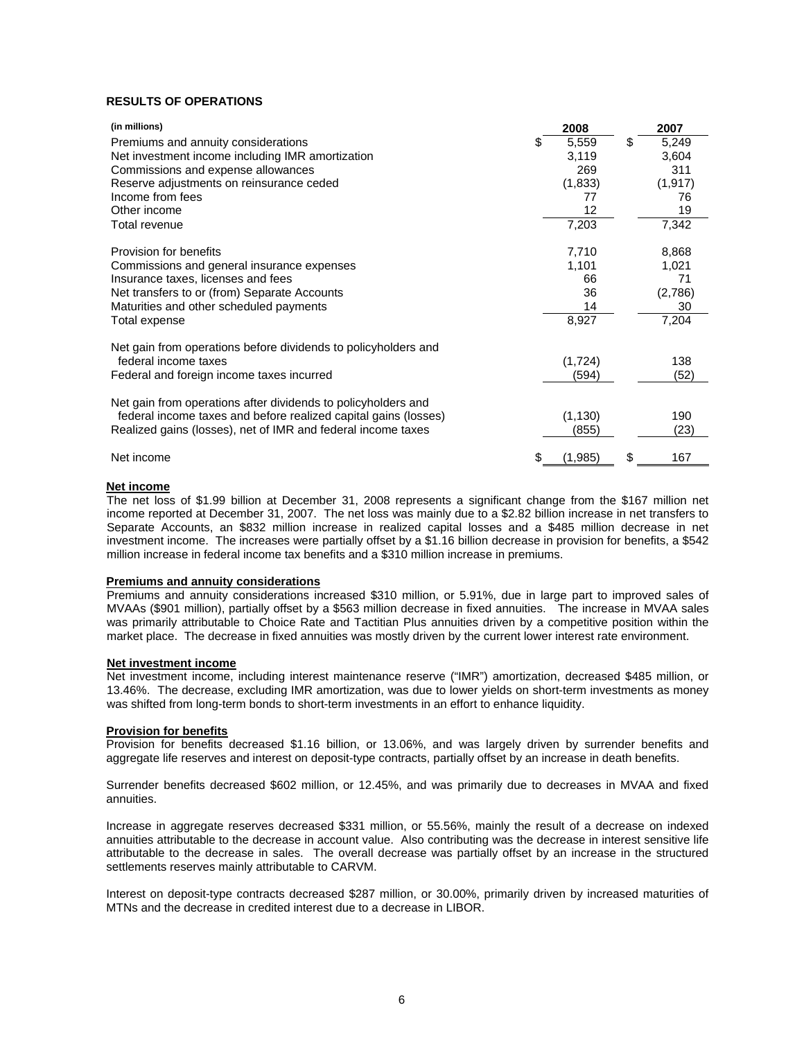# **RESULTS OF OPERATIONS**

| (in millions)                                                   | 2008          | 2007        |
|-----------------------------------------------------------------|---------------|-------------|
| Premiums and annuity considerations                             | 5,559         | \$<br>5,249 |
| Net investment income including IMR amortization                | 3,119         | 3,604       |
| Commissions and expense allowances                              | 269           | 311         |
| Reserve adjustments on reinsurance ceded                        | (1, 833)      | (1, 917)    |
| Income from fees                                                | 77            | 76          |
| Other income                                                    | 12            | 19          |
| Total revenue                                                   | 7,203         | 7,342       |
| Provision for benefits                                          | 7,710         | 8,868       |
| Commissions and general insurance expenses                      | 1,101         | 1,021       |
| Insurance taxes, licenses and fees                              | 66            | 71          |
| Net transfers to or (from) Separate Accounts                    | 36            | (2,786)     |
| Maturities and other scheduled payments                         | 14            | 30          |
| Total expense                                                   | 8,927         | 7,204       |
| Net gain from operations before dividends to policyholders and  |               |             |
| federal income taxes                                            | (1, 724)      | 138         |
| Federal and foreign income taxes incurred                       | (594)         | (52)        |
| Net gain from operations after dividends to policyholders and   |               |             |
| federal income taxes and before realized capital gains (losses) | (1, 130)      | 190         |
| Realized gains (losses), net of IMR and federal income taxes    | (855)         | (23)        |
| Net income                                                      | \$<br>(1,985) | \$<br>167   |

# **Net income**

The net loss of \$1.99 billion at December 31, 2008 represents a significant change from the \$167 million net income reported at December 31, 2007. The net loss was mainly due to a \$2.82 billion increase in net transfers to Separate Accounts, an \$832 million increase in realized capital losses and a \$485 million decrease in net investment income. The increases were partially offset by a \$1.16 billion decrease in provision for benefits, a \$542 million increase in federal income tax benefits and a \$310 million increase in premiums.

#### **Premiums and annuity considerations**

Premiums and annuity considerations increased \$310 million, or 5.91%, due in large part to improved sales of MVAAs (\$901 million), partially offset by a \$563 million decrease in fixed annuities. The increase in MVAA sales was primarily attributable to Choice Rate and Tactitian Plus annuities driven by a competitive position within the market place. The decrease in fixed annuities was mostly driven by the current lower interest rate environment.

#### **Net investment income**

Net investment income, including interest maintenance reserve ("IMR") amortization, decreased \$485 million, or 13.46%. The decrease, excluding IMR amortization, was due to lower yields on short-term investments as money was shifted from long-term bonds to short-term investments in an effort to enhance liquidity.

#### **Provision for benefits**

Provision for benefits decreased \$1.16 billion, or 13.06%, and was largely driven by surrender benefits and aggregate life reserves and interest on deposit-type contracts, partially offset by an increase in death benefits.

Surrender benefits decreased \$602 million, or 12.45%, and was primarily due to decreases in MVAA and fixed annuities.

Increase in aggregate reserves decreased \$331 million, or 55.56%, mainly the result of a decrease on indexed annuities attributable to the decrease in account value. Also contributing was the decrease in interest sensitive life attributable to the decrease in sales. The overall decrease was partially offset by an increase in the structured settlements reserves mainly attributable to CARVM.

Interest on deposit-type contracts decreased \$287 million, or 30.00%, primarily driven by increased maturities of MTNs and the decrease in credited interest due to a decrease in LIBOR.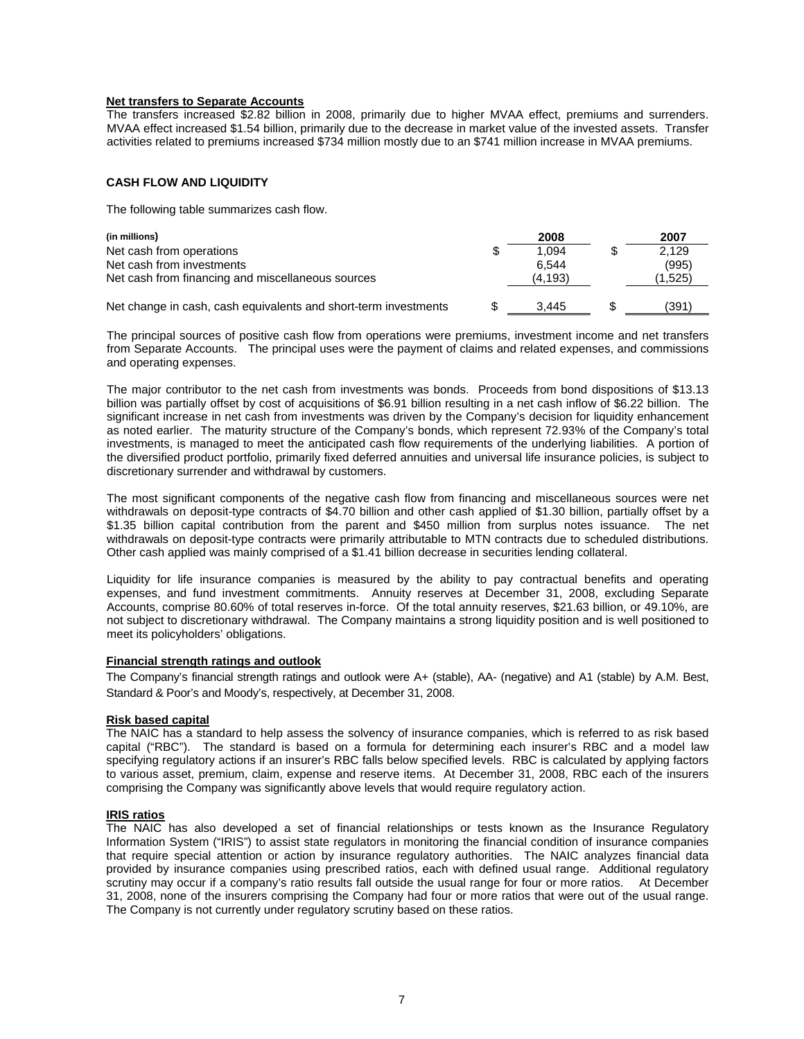# **Net transfers to Separate Accounts**

The transfers increased \$2.82 billion in 2008, primarily due to higher MVAA effect, premiums and surrenders. MVAA effect increased \$1.54 billion, primarily due to the decrease in market value of the invested assets. Transfer activities related to premiums increased \$734 million mostly due to an \$741 million increase in MVAA premiums.

# **CASH FLOW AND LIQUIDITY**

The following table summarizes cash flow.

| (in millions)                                                   |   | 2008    | 2007    |
|-----------------------------------------------------------------|---|---------|---------|
| Net cash from operations                                        | S | 1.094   | 2.129   |
| Net cash from investments                                       |   | 6.544   | (995)   |
| Net cash from financing and miscellaneous sources               |   | (4,193) | (1,525) |
|                                                                 |   |         |         |
| Net change in cash, cash equivalents and short-term investments |   | 3.445   | (391`   |

The principal sources of positive cash flow from operations were premiums, investment income and net transfers from Separate Accounts. The principal uses were the payment of claims and related expenses, and commissions and operating expenses.

The major contributor to the net cash from investments was bonds. Proceeds from bond dispositions of \$13.13 billion was partially offset by cost of acquisitions of \$6.91 billion resulting in a net cash inflow of \$6.22 billion. The significant increase in net cash from investments was driven by the Company's decision for liquidity enhancement as noted earlier. The maturity structure of the Company's bonds, which represent 72.93% of the Company's total investments, is managed to meet the anticipated cash flow requirements of the underlying liabilities. A portion of the diversified product portfolio, primarily fixed deferred annuities and universal life insurance policies, is subject to discretionary surrender and withdrawal by customers.

The most significant components of the negative cash flow from financing and miscellaneous sources were net withdrawals on deposit-type contracts of \$4.70 billion and other cash applied of \$1.30 billion, partially offset by a \$1.35 billion capital contribution from the parent and \$450 million from surplus notes issuance. The net withdrawals on deposit-type contracts were primarily attributable to MTN contracts due to scheduled distributions. Other cash applied was mainly comprised of a \$1.41 billion decrease in securities lending collateral.

Liquidity for life insurance companies is measured by the ability to pay contractual benefits and operating expenses, and fund investment commitments. Annuity reserves at December 31, 2008, excluding Separate Accounts, comprise 80.60% of total reserves in-force. Of the total annuity reserves, \$21.63 billion, or 49.10%, are not subject to discretionary withdrawal. The Company maintains a strong liquidity position and is well positioned to meet its policyholders' obligations.

#### **Financial strength ratings and outlook**

The Company's financial strength ratings and outlook were A+ (stable), AA- (negative) and A1 (stable) by A.M. Best, Standard & Poor's and Moody's, respectively, at December 31, 2008.

#### **Risk based capital**

The NAIC has a standard to help assess the solvency of insurance companies, which is referred to as risk based capital ("RBC"). The standard is based on a formula for determining each insurer's RBC and a model law specifying regulatory actions if an insurer's RBC falls below specified levels. RBC is calculated by applying factors to various asset, premium, claim, expense and reserve items. At December 31, 2008, RBC each of the insurers comprising the Company was significantly above levels that would require regulatory action.

## **IRIS ratios**

The NAIC has also developed a set of financial relationships or tests known as the Insurance Regulatory Information System ("IRIS") to assist state regulators in monitoring the financial condition of insurance companies that require special attention or action by insurance regulatory authorities. The NAIC analyzes financial data provided by insurance companies using prescribed ratios, each with defined usual range. Additional regulatory scrutiny may occur if a company's ratio results fall outside the usual range for four or more ratios. At December 31, 2008, none of the insurers comprising the Company had four or more ratios that were out of the usual range. The Company is not currently under regulatory scrutiny based on these ratios.